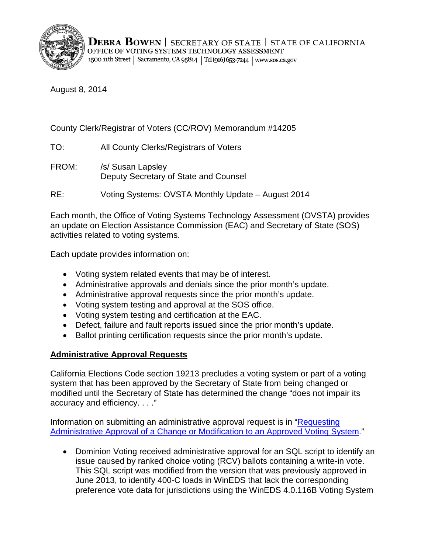

August 8, 2014

# County Clerk/Registrar of Voters (CC/ROV) Memorandum #14205

- TO: All County Clerks/Registrars of Voters
- FROM: /s/ Susan Lapsley Deputy Secretary of State and Counsel
- RE: Voting Systems: OVSTA Monthly Update August 2014

Each month, the Office of Voting Systems Technology Assessment (OVSTA) provides an update on Election Assistance Commission (EAC) and Secretary of State (SOS) activities related to voting systems.

Each update provides information on:

- Voting system related events that may be of interest.
- Administrative approvals and denials since the prior month's update.
- Administrative approval requests since the prior month's update.
- Voting system testing and approval at the SOS office.
- Voting system testing and certification at the EAC.
- Defect, failure and fault reports issued since the prior month's update.
- Ballot printing certification requests since the prior month's update.

## **Administrative Approval Requests**

California Elections Code section 19213 precludes a voting system or part of a voting system that has been approved by the Secretary of State from being changed or modified until the Secretary of State has determined the change "does not impair its accuracy and efficiency. . . ."

Information on submitting an administrative approval request is in ["Requesting](http://www.sos.ca.gov/voting-systems/cert-and-approval/vsysapproval/admin-approval-requirements2012.pdf)  [Administrative Approval of a Change or Modification to an Approved Voting System.](http://www.sos.ca.gov/voting-systems/cert-and-approval/vsysapproval/admin-approval-requirements2012.pdf)"

• Dominion Voting received administrative approval for an SQL script to identify an issue caused by ranked choice voting (RCV) ballots containing a write-in vote. This SQL script was modified from the version that was previously approved in June 2013, to identify 400-C loads in WinEDS that lack the corresponding preference vote data for jurisdictions using the WinEDS 4.0.116B Voting System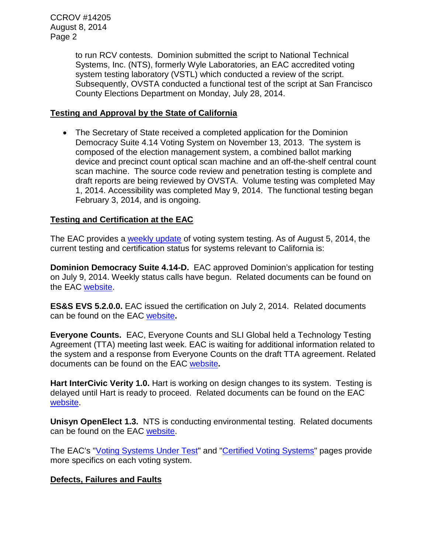CCROV #14205 August 8, 2014 Page 2

> to run RCV contests. Dominion submitted the script to National Technical Systems, Inc. (NTS), formerly Wyle Laboratories, an EAC accredited voting system testing laboratory (VSTL) which conducted a review of the script. Subsequently, OVSTA conducted a functional test of the script at San Francisco County Elections Department on Monday, July 28, 2014.

#### **Testing and Approval by the State of California**

• The Secretary of State received a completed application for the Dominion Democracy Suite 4.14 Voting System on November 13, 2013. The system is composed of the election management system, a combined ballot marking device and precinct count optical scan machine and an off-the-shelf central count scan machine. The source code review and penetration testing is complete and draft reports are being reviewed by OVSTA. Volume testing was completed May 1, 2014. Accessibility was completed May 9, 2014. The functional testing began February 3, 2014, and is ongoing.

### **Testing and Certification at the EAC**

The EAC provides a [weekly update](http://www.eac.gov/blogs/voting_system_testing_update_8514/) of voting system testing. As of August 5, 2014, the current testing and certification status for systems relevant to California is:

**Dominion Democracy Suite 4.14-D.** EAC approved Dominion's application for testing on July 9, 2014. Weekly status calls have begun. Related documents can be found on the EAC [website.](http://www.eac.gov/testing_and_certification/voting_systems_under_test.aspx)

**ES&S EVS 5.2.0.0.** EAC issued the certification on July 2, 2014. Related documents can be found on the EAC [website](http://www.eac.gov/testing_and_certification/certified_voting_systems.aspx)**.** 

**Everyone Counts.** EAC, Everyone Counts and SLI Global held a Technology Testing Agreement (TTA) meeting last week. EAC is waiting for additional information related to the system and a response from Everyone Counts on the draft TTA agreement. Related documents can be found on the EAC [website](http://www.eac.gov/testing_and_certification/voting_systems_under_test.aspx)**.**

**Hart InterCivic Verity 1.0.** Hart is working on design changes to its system. Testing is delayed until Hart is ready to proceed. Related documents can be found on the EAC [website.](http://www.eac.gov/testing_and_certification/voting_systems_under_test.aspx)

**Unisyn OpenElect 1.3.** NTS is conducting environmental testing. Related documents can be found on the EAC [website.](http://www.eac.gov/testing_and_certification/voting_systems_under_test.aspx)

The EAC's ["Voting Systems Under Test"](http://www.eac.gov/testing_and_certification/voting_systems_under_test.aspx) and ["Certified Voting Systems"](http://www.eac.gov/testing_and_certification/certified_voting_systems.aspx) pages provide more specifics on each voting system.

### **Defects, Failures and Faults**